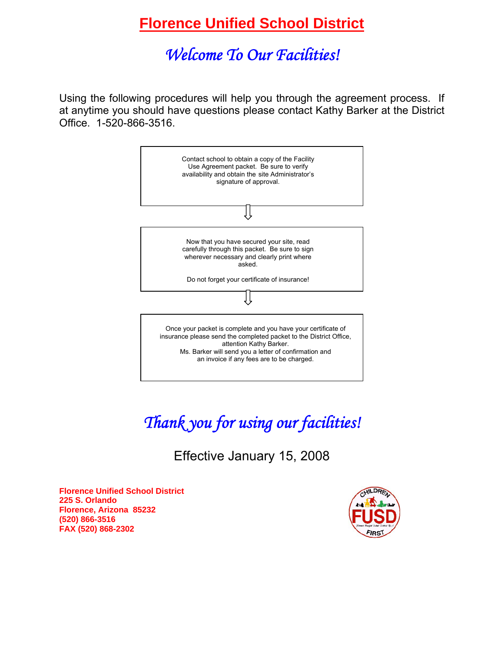# *Welcome To Our Facilities!*

Using the following procedures will help you through the agreement process. If at anytime you should have questions please contact Kathy Barker at the District Office. 1-520-866-3516.



# *Thank you for using our facilities!*

Effective January 15, 2008

**Florence Unified School District 225 S. Orlando Florence, Arizona 85232 (520) 866-3516 FAX (520) 868-2302** 

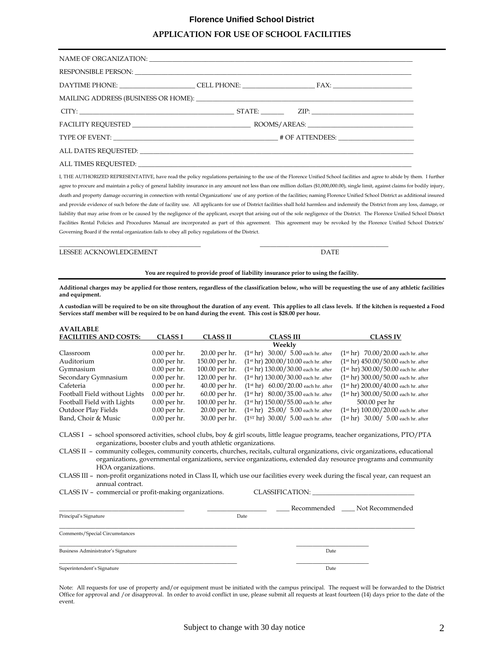## **APPLICATION FOR USE OF SCHOOL FACILITIES**

| $CITY:$ $ZIP:$ $ZIP:$ $ZIP:$ $ZIP:$ $ZIP:$ $ZIP:$ $ZIP:$ $ZIP:$ $ZIP:$ $ZIP:$ $ZIP:$ $ZIP:$ $ZIP:$ $ZIP:$ $ZIP:$ $ZIP:$ $ZIP:$ $ZIP:$ $ZIP:$ $ZIP:$ $ZIP:$ $ZIP:$ $ZIP:$ $ZIP:$ $ZIP:$ $ZIP:$ $ZIP:$ $ZIP:$ $ZIP:$ $ZIP:$ $ZIP:$ $ZIP:$ $ZIP:$ $ZIP:$ $ZIP:$ $ZIP:$ |  |  |
|---------------------------------------------------------------------------------------------------------------------------------------------------------------------------------------------------------------------------------------------------------------------|--|--|
|                                                                                                                                                                                                                                                                     |  |  |
|                                                                                                                                                                                                                                                                     |  |  |
|                                                                                                                                                                                                                                                                     |  |  |
|                                                                                                                                                                                                                                                                     |  |  |

I, THE AUTHORIZED REPRESENTATIVE, have read the policy regulations pertaining to the use of the Florence Unified School facilities and agree to abide by them. I further agree to procure and maintain a policy of general liability insurance in any amount not less than one million dollars (\$1,000,000.00), single limit, against claims for bodily injury, death and property damage occurring in connection with rental Organizations' use of any portion of the facilities; naming Florence Unified School District as additional insured and provide evidence of such before the date of facility use. All applicants for use of District facilities shall hold harmless and indemnify the District from any loss, damage, or liability that may arise from or be caused by the negligence of the applicant, except that arising out of the sole negligence of the District. The Florence Unified School District Facilities Rental Policies and Procedures Manual are incorporated as part of this agreement. This agreement may be revoked by the Florence Unified School Districts' Governing Board if the rental organization fails to obey all policy regulations of the District.

LESSEE ACKNOWLEDGEMENT DATE

**You are required to provide proof of liability insurance prior to using the facility.** 

\_\_\_\_\_\_\_\_\_\_\_\_\_\_\_\_\_\_\_\_\_\_\_\_\_\_\_\_\_\_\_\_\_\_\_\_\_\_\_\_\_\_\_ \_\_\_\_\_\_\_\_\_\_\_\_\_\_\_\_\_\_\_\_\_\_\_\_\_\_\_\_\_\_\_\_\_\_\_\_\_\_\_

**Additional charges may be applied for those renters, regardless of the classification below, who will be requesting the use of any athletic facilities and equipment.** 

**A custodian will be required to be on site throughout the duration of any event. This applies to all class levels. If the kitchen is requested a Food Services staff member will be required to be on hand during the event. This cost is \$28.00 per hour.** 

| <b>AVAILABLE</b>                                                                                                               |                |                 |                                                       |                                            |
|--------------------------------------------------------------------------------------------------------------------------------|----------------|-----------------|-------------------------------------------------------|--------------------------------------------|
| <b>FACILITIES AND COSTS:</b>                                                                                                   | <b>CLASS I</b> | <b>CLASS II</b> | <b>CLASS III</b>                                      | <b>CLASS IV</b>                            |
|                                                                                                                                |                |                 | Weekly                                                |                                            |
| Classroom                                                                                                                      | $0.00$ per hr. | 20.00 per hr.   | $30.00 / 5.00$ each hr. after<br>(1 <sup>st</sup> hr) | $(1^{st}$ hr) $70.00/20.00$ each hr. after |
| Auditorium                                                                                                                     | $0.00$ per hr. | 150.00 per hr.  | $(1st hr) 200.00/10.00$ each hr. after                | $(1st hr) 450.00/50.00$ each hr. after     |
| Gymnasium                                                                                                                      | $0.00$ per hr. | 100.00 per hr.  | $(1st hr) 130.00/30.00$ each hr. after                | $(1st hr) 300.00/50.00$ each hr. after     |
| Secondary Gymnasium                                                                                                            | $0.00$ per hr. | 120.00 per hr.  | $(1st hr) 130.00/30.00$ each hr. after                | $(1st hr) 300.00/50.00$ each hr. after     |
| Cafeteria                                                                                                                      | $0.00$ per hr. | $40.00$ per hr. | $(1st hr) 60.00/20.00$ each hr. after                 | $(1st hr) 200.00/40.00$ each hr. after     |
| Football Field without Lights                                                                                                  | $0.00$ per hr. | $60.00$ per hr. | $80.00/35.00$ each hr. after<br>(1 <sup>st</sup> hr)  | $(1st hr) 300.00/50.00$ each hr. after     |
| Football Field with Lights                                                                                                     | $0.00$ per hr. | 100.00 per hr.  | $(1st hr) 150.00 / 55.00$ each hr. after              | 500.00 per hr                              |
| Outdoor Play Fields                                                                                                            | $0.00$ per hr. | 20.00 per hr.   | $25.00/5.00$ each hr. after<br>(1 <sup>st</sup> hr)   | $(1st hr) 100.00/20.00$ each hr. after     |
| Band, Choir & Music                                                                                                            | $0.00$ per hr. | 30.00 per hr.   | $(1^{ST}$ hr) 30.00/ 5.00 each hr. after              | $(1^{st}$ hr) $30.00/5.00$ each hr. after  |
|                                                                                                                                |                |                 |                                                       |                                            |
| CLASS I – school sponsored activities, school clubs, boy & girl scouts, little league programs, teacher organizations, PTO/PTA |                |                 |                                                       |                                            |

organizations, booster clubs and youth athletic organizations. CLASS II – community colleges, community concerts, churches, recitals, cultural organizations, civic organizations, educational organizations, governmental organizations, service organizations, extended day resource programs and community HOA organizations.

CLASS III – non-profit organizations noted in Class II, which use our facilities every week during the fiscal year, can request an annual contract.

CLASS IV - commercial or profit-making organizations. CLASSIFICATION:

| Principal's Signature              | Date | Recommended _____ Not Recommended |  |
|------------------------------------|------|-----------------------------------|--|
| Comments/Special Circumstances     |      |                                   |  |
| Business Administrator's Signature |      | Date                              |  |
| Superintendent's Signature         |      | Date                              |  |

Note: All requests for use of property and/or equipment must be initiated with the campus principal. The request will be forwarded to the District Office for approval and /or disapproval. In order to avoid conflict in use, please submit all requests at least fourteen (14) days prior to the date of the event.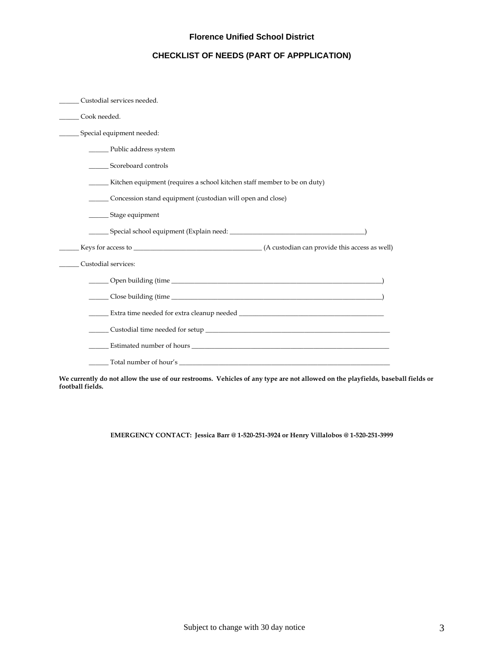## **CHECKLIST OF NEEDS (PART OF APPPLICATION)**

| Custodial services needed.                                               |
|--------------------------------------------------------------------------|
| Cook needed.                                                             |
| Special equipment needed:                                                |
| ________ Public address system                                           |
| Scoreboard controls                                                      |
| Kitchen equipment (requires a school kitchen staff member to be on duty) |
| Concession stand equipment (custodian will open and close)               |
| _________ Stage equipment                                                |
|                                                                          |
|                                                                          |
| Custodial services:                                                      |
|                                                                          |
|                                                                          |
|                                                                          |
|                                                                          |
|                                                                          |
|                                                                          |

**We currently do not allow the use of our restrooms. Vehicles of any type are not allowed on the playfields, baseball fields or football fields.** 

**EMERGENCY CONTACT: Jessica Barr @ 1-520-251-3924 or Henry Villalobos @ 1-520-251-3999**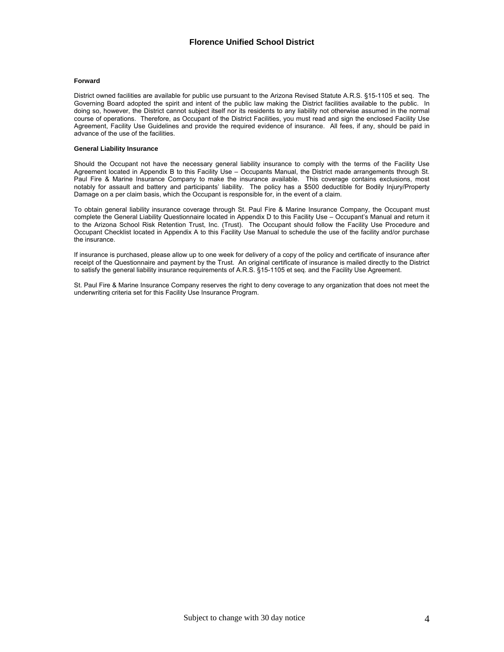#### **Forward**

District owned facilities are available for public use pursuant to the Arizona Revised Statute A.R.S. §15-1105 et seq. The Governing Board adopted the spirit and intent of the public law making the District facilities available to the public. In doing so, however, the District cannot subject itself nor its residents to any liability not otherwise assumed in the normal course of operations. Therefore, as Occupant of the District Facilities, you must read and sign the enclosed Facility Use Agreement, Facility Use Guidelines and provide the required evidence of insurance. All fees, if any, should be paid in advance of the use of the facilities.

#### **General Liability Insurance**

Should the Occupant not have the necessary general liability insurance to comply with the terms of the Facility Use Agreement located in Appendix B to this Facility Use – Occupants Manual, the District made arrangements through St. Paul Fire & Marine Insurance Company to make the insurance available. This coverage contains exclusions, most notably for assault and battery and participants' liability. The policy has a \$500 deductible for Bodily Injury/Property Damage on a per claim basis, which the Occupant is responsible for, in the event of a claim.

To obtain general liability insurance coverage through St. Paul Fire & Marine Insurance Company, the Occupant must complete the General Liability Questionnaire located in Appendix D to this Facility Use – Occupant's Manual and return it to the Arizona School Risk Retention Trust, Inc. (Trust). The Occupant should follow the Facility Use Procedure and Occupant Checklist located in Appendix A to this Facility Use Manual to schedule the use of the facility and/or purchase the insurance.

If insurance is purchased, please allow up to one week for delivery of a copy of the policy and certificate of insurance after receipt of the Questionnaire and payment by the Trust. An original certificate of insurance is mailed directly to the District to satisfy the general liability insurance requirements of A.R.S. §15-1105 et seq. and the Facility Use Agreement.

St. Paul Fire & Marine Insurance Company reserves the right to deny coverage to any organization that does not meet the underwriting criteria set for this Facility Use Insurance Program.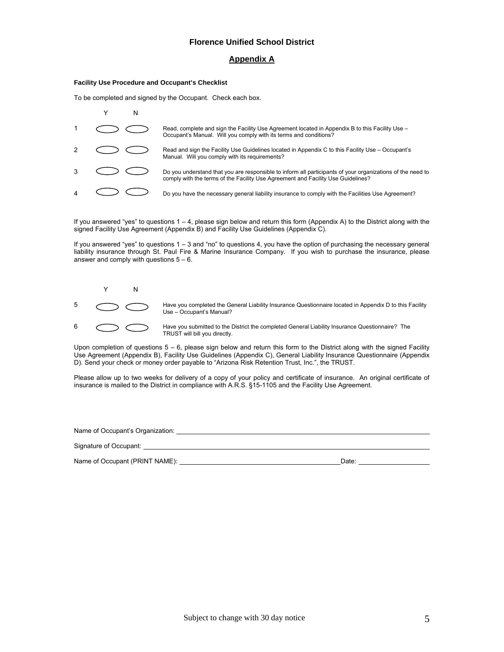## **Appendix A**

#### **Facility Use Procedure and Occupant's Checklist**

To be completed and signed by the Occupant. Check each box.

|  | Read, complete and sign the Facility Use Agreement located in Appendix B to this Facility Use -<br>Occupant's Manual. Will you comply with its terms and conditions?                           |
|--|------------------------------------------------------------------------------------------------------------------------------------------------------------------------------------------------|
|  | Read and sign the Facility Use Guidelines located in Appendix C to this Facility Use - Occupant's<br>Manual. Will you comply with its requirements?                                            |
|  | Do you understand that you are responsible to inform all participants of your organizations of the need to<br>comply with the terms of the Facility Use Agreement and Facility Use Guidelines? |
|  | Do you have the necessary general liability insurance to comply with the Facilities Use Agreement?                                                                                             |

If you answered "yes" to questions 1 – 4, please sign below and return this form (Appendix A) to the District along with the signed Facility Use Agreement (Appendix B) and Facility Use Guidelines (Appendix C).

If you answered "yes" to questions 1 – 3 and "no" to questions 4, you have the option of purchasing the necessary general liability insurance through St. Paul Fire & Marine Insurance Company. If you wish to purchase the insurance, please answer and comply with questions  $5 - 6$ .



Fave you completed the General Liability Insurance Questionnaire located in Appendix D to this Facility Use – Occupant's Manual?

6  $\bigodot$  Have you submitted to the District the completed General Liability Insurance Questionnaire? The TRUST will bill you directly.

Upon completion of questions  $5 - 6$ , please sign below and return this form to the District along with the signed Facility Use Agreement (Appendix B), Facility Use Guidelines (Appendix C), General Liability Insurance Questionnaire (Appendix D). Send your check or money order payable to "Arizona Risk Retention Trust, Inc.", the TRUST.

Please allow up to two weeks for delivery of a copy of your policy and certificate of insurance. An original certificate of insurance is mailed to the District in compliance with A.R.S. §15-1105 and the Facility Use Agreement.

| Name of Occupant's Organization: |       |
|----------------------------------|-------|
| Signature of Occupant:           |       |
| Name of Occupant (PRINT NAME):   | Date: |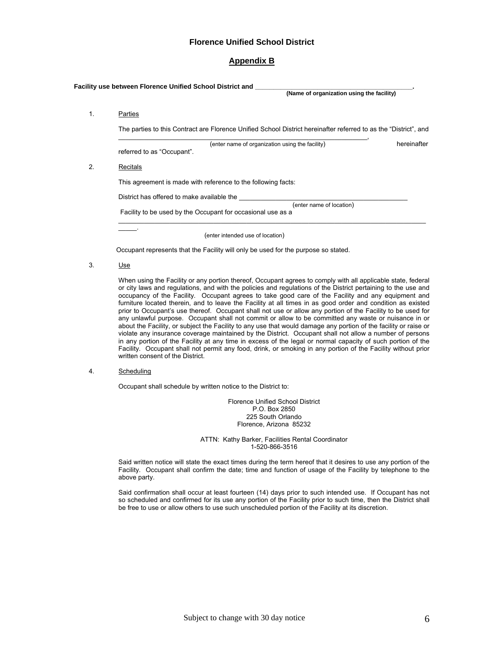## **Appendix B**

|    | Facility use between Florence Unified School District and _<br>(Name of organization using the facility)                              |
|----|---------------------------------------------------------------------------------------------------------------------------------------|
| 1. | Parties<br>The parties to this Contract are Florence Unified School District hereinafter referred to as the "District", and           |
|    | hereinafter<br>(enter name of organization using the facility)<br>referred to as "Occupant".                                          |
| 2. | Recitals                                                                                                                              |
|    | This agreement is made with reference to the following facts:                                                                         |
|    | District has offered to make available the<br>(enter name of location)<br>Facility to be used by the Occupant for occasional use as a |
|    | (enter intended use of location)                                                                                                      |

Occupant represents that the Facility will only be used for the purpose so stated.

3. Use

When using the Facility or any portion thereof, Occupant agrees to comply with all applicable state, federal or city laws and regulations, and with the policies and regulations of the District pertaining to the use and occupancy of the Facility. Occupant agrees to take good care of the Facility and any equipment and furniture located therein, and to leave the Facility at all times in as good order and condition as existed prior to Occupant's use thereof. Occupant shall not use or allow any portion of the Facility to be used for any unlawful purpose. Occupant shall not commit or allow to be committed any waste or nuisance in or about the Facility, or subject the Facility to any use that would damage any portion of the facility or raise or violate any insurance coverage maintained by the District. Occupant shall not allow a number of persons in any portion of the Facility at any time in excess of the legal or normal capacity of such portion of the Facility. Occupant shall not permit any food, drink, or smoking in any portion of the Facility without prior written consent of the District.

4. Scheduling

Occupant shall schedule by written notice to the District to:

Florence Unified School District P.O. Box 2850 225 South Orlando Florence, Arizona 85232

ATTN: Kathy Barker, Facilities Rental Coordinator 1-520-866-3516

Said written notice will state the exact times during the term hereof that it desires to use any portion of the Facility. Occupant shall confirm the date; time and function of usage of the Facility by telephone to the above party.

Said confirmation shall occur at least fourteen (14) days prior to such intended use. If Occupant has not so scheduled and confirmed for its use any portion of the Facility prior to such time, then the District shall be free to use or allow others to use such unscheduled portion of the Facility at its discretion.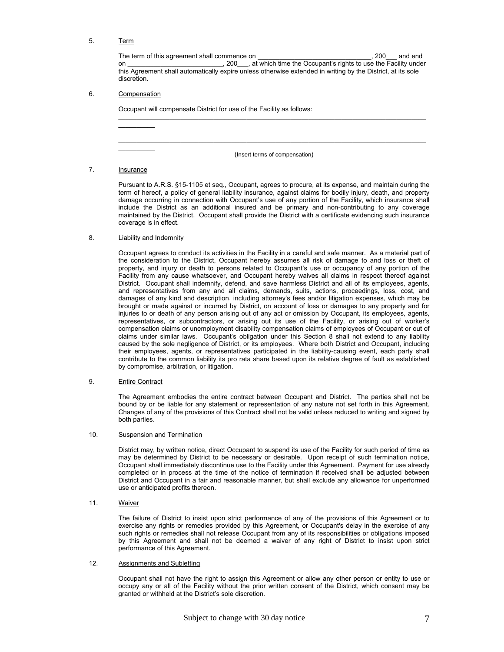## 5. Term

The term of this agreement shall commence on \_\_\_\_\_\_\_\_\_\_\_\_\_\_\_\_\_\_\_\_\_\_\_\_\_\_\_\_\_\_\_\_\_, 200 \_\_\_ and end on \_\_\_\_\_\_\_\_\_\_\_\_\_\_\_\_\_\_\_\_\_\_\_\_\_\_, 200\_\_\_\_, at which time the Occupant's rights to use the Facility under this Agreement shall automatically expire unless otherwise extended in writing by the District, at its sole discretion.

#### 6. Compensation

 $\frac{1}{2}$  ,  $\frac{1}{2}$  ,  $\frac{1}{2}$  ,  $\frac{1}{2}$  ,  $\frac{1}{2}$ 

 $\mathcal{L}=\mathcal{L}^{\mathcal{L}}$ 

Occupant will compensate District for use of the Facility as follows:

(Insert terms of compensation)

 $\_$  , and the state of the state of the state of the state of the state of the state of the state of the state of the state of the state of the state of the state of the state of the state of the state of the state of the

\_\_\_\_\_\_\_\_\_\_\_\_\_\_\_\_\_\_\_\_\_\_\_\_\_\_\_\_\_\_\_\_\_\_\_\_\_\_\_\_\_\_\_\_\_\_\_\_\_\_\_\_\_\_\_\_\_\_\_\_\_\_\_\_\_\_\_\_\_\_\_\_\_\_\_\_\_\_\_\_\_\_\_\_

7. **Insurance** 

Pursuant to A.R.S. §15-1105 et seq., Occupant, agrees to procure, at its expense, and maintain during the term of hereof, a policy of general liability insurance, against claims for bodily injury, death, and property damage occurring in connection with Occupant's use of any portion of the Facility, which insurance shall include the District as an additional insured and be primary and non-contributing to any coverage maintained by the District. Occupant shall provide the District with a certificate evidencing such insurance coverage is in effect.

#### 8. **Liability and Indemnity**

Occupant agrees to conduct its activities in the Facility in a careful and safe manner. As a material part of the consideration to the District, Occupant hereby assumes all risk of damage to and loss or theft of property, and injury or death to persons related to Occupant's use or occupancy of any portion of the Facility from any cause whatsoever, and Occupant hereby waives all claims in respect thereof against District. Occupant shall indemnify, defend, and save harmless District and all of its employees, agents, and representatives from any and all claims, demands, suits, actions, proceedings, loss, cost, and damages of any kind and description, including attorney's fees and/or litigation expenses, which may be brought or made against or incurred by District, on account of loss or damages to any property and for injuries to or death of any person arising out of any act or omission by Occupant, its employees, agents, representatives, or subcontractors, or arising out its use of the Facility, or arising out of worker's compensation claims or unemployment disability compensation claims of employees of Occupant or out of claims under similar laws. Occupant's obligation under this Section 8 shall not extend to any liability caused by the sole negligence of District, or its employees. Where both District and Occupant, including their employees, agents, or representatives participated in the liability-causing event, each party shall contribute to the common liability its pro rata share based upon its relative degree of fault as established by compromise, arbitration, or litigation.

#### 9. Entire Contract

The Agreement embodies the entire contract between Occupant and District. The parties shall not be bound by or be liable for any statement or representation of any nature not set forth in this Agreement. Changes of any of the provisions of this Contract shall not be valid unless reduced to writing and signed by both parties.

#### 10. Suspension and Termination

District may, by written notice, direct Occupant to suspend its use of the Facility for such period of time as may be determined by District to be necessary or desirable. Upon receipt of such termination notice, Occupant shall immediately discontinue use to the Facility under this Agreement. Payment for use already completed or in process at the time of the notice of termination if received shall be adjusted between District and Occupant in a fair and reasonable manner, but shall exclude any allowance for unperformed use or anticipated profits thereon.

#### 11. Waiver

The failure of District to insist upon strict performance of any of the provisions of this Agreement or to exercise any rights or remedies provided by this Agreement, or Occupant's delay in the exercise of any such rights or remedies shall not release Occupant from any of its responsibilities or obligations imposed by this Agreement and shall not be deemed a waiver of any right of District to insist upon strict performance of this Agreement.

#### 12. Assignments and Subletting

Occupant shall not have the right to assign this Agreement or allow any other person or entity to use or occupy any or all of the Facility without the prior written consent of the District, which consent may be granted or withheld at the District's sole discretion.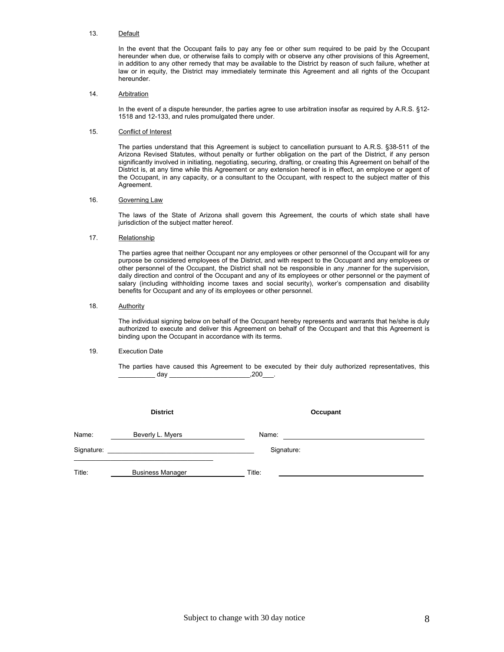#### 13. Default

In the event that the Occupant fails to pay any fee or other sum required to be paid by the Occupant hereunder when due, or otherwise fails to comply with or observe any other provisions of this Agreement, in addition to any other remedy that may be available to the District by reason of such failure, whether at law or in equity, the District may immediately terminate this Agreement and all rights of the Occupant hereunder.

#### 14. Arbitration

In the event of a dispute hereunder, the parties agree to use arbitration insofar as required by A.R.S. §12-1518 and 12-133, and rules promulgated there under.

#### 15. Conflict of Interest

The parties understand that this Agreement is subject to cancellation pursuant to A.R.S. §38-511 of the Arizona Revised Statutes, without penalty or further obligation on the part of the District, if any person significantly involved in initiating, negotiating, securing, drafting, or creating this Agreement on behalf of the District is, at any time while this Agreement or any extension hereof is in effect, an employee or agent of the Occupant, in any capacity, or a consultant to the Occupant, with respect to the subject matter of this Agreement.

#### 16. Governing Law

The laws of the State of Arizona shall govern this Agreement, the courts of which state shall have jurisdiction of the subject matter hereof.

#### 17. Relationship

The parties agree that neither Occupant nor any employees or other personnel of the Occupant will for any purpose be considered employees of the District, and with respect to the Occupant and any employees or other personnel of the Occupant, the District shall not be responsible in any ,manner for the supervision, daily direction and control of the Occupant and any of its employees or other personnel or the payment of salary (including withholding income taxes and social security), worker's compensation and disability benefits for Occupant and any of its employees or other personnel.

#### 18. Authority

The individual signing below on behalf of the Occupant hereby represents and warrants that he/she is duly authorized to execute and deliver this Agreement on behalf of the Occupant and that this Agreement is binding upon the Occupant in accordance with its terms.

#### 19. Execution Date

The parties have caused this Agreement to be executed by their duly authorized representatives, this \_\_\_\_\_\_\_\_\_\_ day \_\_\_\_\_\_\_\_\_\_\_\_\_\_\_\_\_\_\_\_\_\_,200\_\_\_.

|            | <b>District</b>         | Occupant   |  |
|------------|-------------------------|------------|--|
| Name:      | Beverly L. Myers        | Name:      |  |
| Signature: |                         | Signature: |  |
| Title:     | <b>Business Manager</b> | Title:     |  |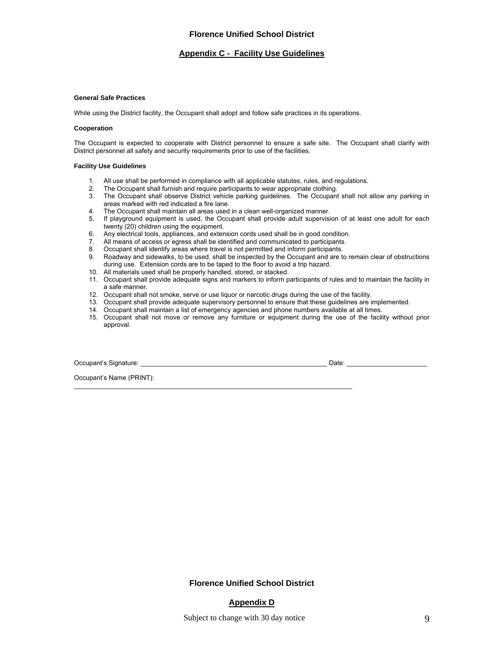#### **Appendix C - Facility Use Guidelines**

#### **General Safe Practices**

While using the District facility, the Occupant shall adopt and follow safe practices in its operations.

#### **Cooperation**

The Occupant is expected to cooperate with District personnel to ensure a safe site. The Occupant shall clarify with District personnel all safety and security requirements prior to use of the facilities.

#### **Facility Use Guidelines**

- 1. All use shall be performed in compliance with all applicable statutes, rules, and regulations.
- 2. The Occupant shall furnish and require participants to wear appropriate clothing.
- 3. The Occupant shall observe District vehicle parking guidelines. The Occupant shall not allow any parking in areas marked with red indicated a fire lane.
- 4. The Occupant shall maintain all areas used in a clean well-organized manner.
- 5. If playground equipment is used, the Occupant shall provide adult supervision of at least one adult for each twenty (20) children using the equipment.
- 6. Any electrical tools, appliances, and extension cords used shall be in good condition.
- 7. All means of access or egress shall be identified and communicated to participants.
- 8. Occupant shall identify areas where travel is not permitted and inform participants.

\_\_\_\_\_\_\_\_\_\_\_\_\_\_\_\_\_\_\_\_\_\_\_\_\_\_\_\_\_\_\_\_\_\_\_\_\_\_\_\_\_\_\_\_\_\_\_\_\_\_\_\_\_\_\_\_\_\_\_\_\_\_\_\_\_\_\_\_\_\_\_\_\_\_\_\_

- 9. Roadway and sidewalks, to be used, shall be inspected by the Occupant and are to remain clear of obstructions during use. Extension cords are to be taped to the floor to avoid a trip hazard.
- 10. All materials used shall be properly handled, stored, or stacked.
- 11. Occupant shall provide adequate signs and markers to inform participants of rules and to maintain the facility in a safe manner.
- 12. Occupant shall not smoke, serve or use liquor or narcotic drugs during the use of the facility.
- 13. Occupant shall provide adequate supervisory personnel to ensure that these guidelines are implemented.
- 14. Occupant shall maintain a list of emergency agencies and phone numbers available at all times.
- 15. Occupant shall not move or remove any furniture or equipment during the use of the facility without prior approval.

Occupant's Signature: \_\_\_\_\_\_\_\_\_\_\_\_\_\_\_\_\_\_\_\_\_\_\_\_\_\_\_\_\_\_\_\_\_\_\_\_\_\_\_\_\_\_\_\_\_\_\_\_\_\_\_ Date: \_\_\_\_\_\_\_\_\_\_\_\_\_\_\_\_\_\_\_\_\_\_

Occupant's Name (PRINT):

**Florence Unified School District** 

## **Appendix D**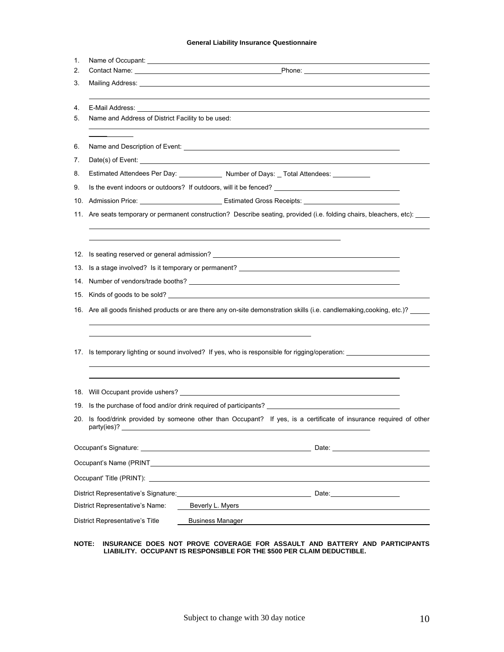## **General Liability Insurance Questionnaire**

| 1. | Name of Occupant: <u>experience and a serience of the series of the series of the series of the series of the series of the series of the series of the series of the series of the series of the series of the series of the se</u> |  |  |
|----|--------------------------------------------------------------------------------------------------------------------------------------------------------------------------------------------------------------------------------------|--|--|
| 2. |                                                                                                                                                                                                                                      |  |  |
| 3. | Mailing Address: <u>Communications</u> Control and Control and Control and Control and Control and Control and Control and Control and Control and Control and Control and Control and Control and Control and Control and Control   |  |  |
|    |                                                                                                                                                                                                                                      |  |  |
| 4. | E-Mail Address: the contract of the contract of the contract of the contract of the contract of the contract of the contract of the contract of the contract of the contract of the contract of the contract of the contract o       |  |  |
| 5. | Name and Address of District Facility to be used:                                                                                                                                                                                    |  |  |
|    |                                                                                                                                                                                                                                      |  |  |
| 6. |                                                                                                                                                                                                                                      |  |  |
| 7. |                                                                                                                                                                                                                                      |  |  |
| 8. | Estimated Attendees Per Day: ______________ Number of Days: _ Total Attendees: __________                                                                                                                                            |  |  |
| 9. | Is the event indoors or outdoors? If outdoors, will it be fenced? __________________________________                                                                                                                                 |  |  |
|    |                                                                                                                                                                                                                                      |  |  |
|    | 11. Are seats temporary or permanent construction? Describe seating, provided (i.e. folding chairs, bleachers, etc):                                                                                                                 |  |  |
|    |                                                                                                                                                                                                                                      |  |  |
|    |                                                                                                                                                                                                                                      |  |  |
|    | 12. Is seating reserved or general admission?                                                                                                                                                                                        |  |  |
|    |                                                                                                                                                                                                                                      |  |  |
|    |                                                                                                                                                                                                                                      |  |  |
|    | 15. Kinds of goods to be sold? <b>All and Sold Street and Street and Street and Street and Street and Street and Street and Street and Street and Street and Street and Street and Street and Street and Street and Street and S</b> |  |  |
|    | 16. Are all goods finished products or are there any on-site demonstration skills (i.e. candlemaking, cooking, etc.)?                                                                                                                |  |  |
|    |                                                                                                                                                                                                                                      |  |  |
|    |                                                                                                                                                                                                                                      |  |  |
|    | 17. Is temporary lighting or sound involved? If yes, who is responsible for rigging/operation: ___________                                                                                                                           |  |  |
|    |                                                                                                                                                                                                                                      |  |  |
|    |                                                                                                                                                                                                                                      |  |  |
|    |                                                                                                                                                                                                                                      |  |  |
|    | 19. Is the purchase of food and/or drink required of participants? _________________________________                                                                                                                                 |  |  |
|    | 20. Is food/drink provided by someone other than Occupant? If yes, is a certificate of insurance required of other                                                                                                                   |  |  |
|    | party(ies)?                                                                                                                                                                                                                          |  |  |
|    | Occupant's Signature: the contract of the contract of the contract of the contract of the contract of the contract of the contract of the contract of the contract of the contract of the contract of the contract of the cont       |  |  |
|    |                                                                                                                                                                                                                                      |  |  |
|    |                                                                                                                                                                                                                                      |  |  |
|    |                                                                                                                                                                                                                                      |  |  |
|    | District Representative's Signature: New York 1997 and Society And The Contract Date:<br>District Representative's Name:<br>Beverly L. Myers                                                                                         |  |  |
|    |                                                                                                                                                                                                                                      |  |  |
|    | <b>District Representative's Title</b><br><b>Business Manager</b>                                                                                                                                                                    |  |  |

#### **NOTE: INSURANCE DOES NOT PROVE COVERAGE FOR ASSAULT AND BATTERY AND PARTICIPANTS LIABILITY. OCCUPANT IS RESPONSIBLE FOR THE \$500 PER CLAIM DEDUCTIBLE.**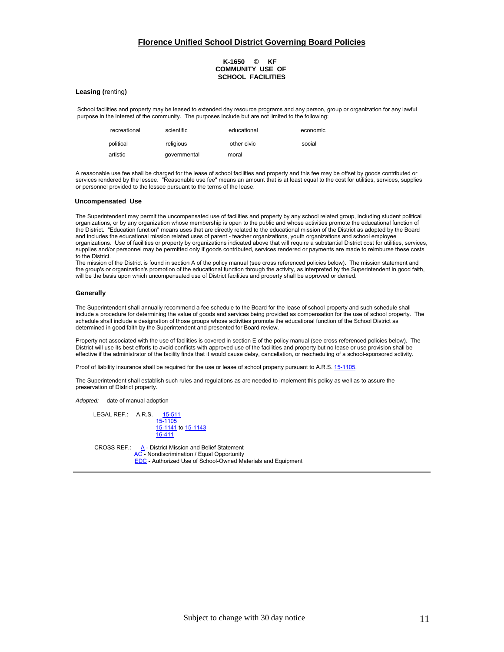## **Florence Unified School District Governing Board Policies**

#### **K-1650** © **KF COMMUNITY USE OF SCHOOL FACILITIES**

#### **Leasing (**renting**)**

School facilities and property may be leased to extended day resource programs and any person, group or organization for any lawful purpose in the interest of the community. The purposes include but are not limited to the following:

| recreational | scientific   | educational | economic |
|--------------|--------------|-------------|----------|
| political    | religious    | other civic | social   |
| artistic     | qovernmental | moral       |          |

A reasonable use fee shall be charged for the lease of school facilities and property and this fee may be offset by goods contributed or services rendered by the lessee. "Reasonable use fee" means an amount that is at least equal to the cost for utilities, services, supplies or personnel provided to the lessee pursuant to the terms of the lease.

#### **Uncompensated Use**

 and includes the educational mission related uses of parent - teacher organizations, youth organizations and school employee The Superintendent may permit the uncompensated use of facilities and property by any school related group, including student political organizations, or by any organization whose membership is open to the public and whose activities promote the educational function of the District. "Education function" means uses that are directly related to the educational mission of the District as adopted by the Board organizations. Use of facilities or property by organizations indicated above that will require a substantial District cost for utilities, services, supplies and/or personnel may be permitted only if goods contributed, services rendered or payments are made to reimburse these costs to the District.

The mission of the District is found in section A of the policy manual (see cross referenced policies below)**.** The mission statement and the group's or organization's promotion of the educational function through the activity, as interpreted by the Superintendent in good faith, will be the basis upon which uncompensated use of District facilities and property shall be approved or denied.

#### **Generally**

The Superintendent shall annually recommend a fee schedule to the Board for the lease of school property and such schedule shall include a procedure for determining the value of goods and services being provided as compensation for the use of school property. The schedule shall include a designation of those groups whose activities promote the educational function of the School District as determined in good faith by the Superintendent and presented for Board review.

Property not associated with the use of facilities is covered in section E of the policy manual (see cross referenced policies below). The District will use its best efforts to avoid conflicts with approved use of the facilities and property but no lease or use provision shall be effective if the administrator of the facility finds that it would cause delay, cancellation, or rescheduling of a school-sponsored activity.

Proof of liability insurance shall be required for the use or lease of school property pursuant to A.R.S. 15-1105.

The Superintendent shall establish such rules and regulations as are needed to implement this policy as well as to assure the preservation of District property.

*Adopted:* date of manual adoption

LEGAL REF.: A.R.S. 15-1105 15-1141 to 15-1143 16-411

CROSS REF.:  $A - District Mission and Belief Statement$  AC - Nondiscrimination / Equal Opportunity EDC - Authorized Use of School-Owned Materials and Equipment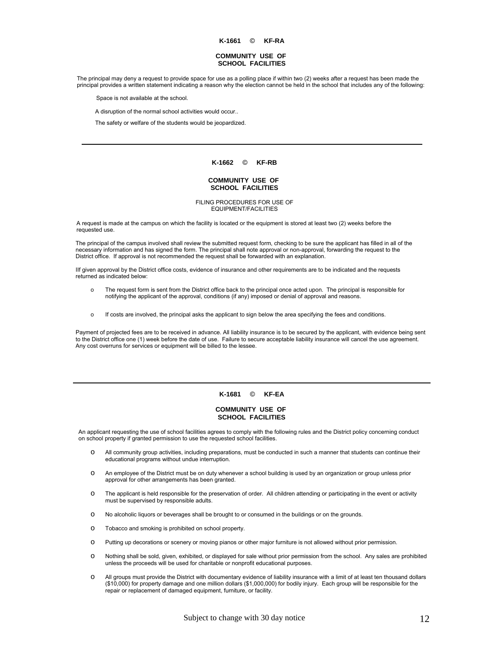**K-1661** © **KF-RA**

#### **COMMUNITY USE OF SCHOOL FACILITIES**

The principal may deny a request to provide space for use as a polling place if within two (2) weeks after a request has been made the principal provides a written statement indicating a reason why the election cannot be held in the school that includes any of the following:

Space is not available at the school.

A disruption of the normal school activities would occur..

The safety or welfare of the students would be jeopardized.

#### **K-1662** © **KF-RB**

#### **COMMUNITY USE OF SCHOOL FACILITIES**

FILING PROCEDURES FOR USE OF EQUIPMENT/FACILITIES

A request is made at the campus on which the facility is located or the equipment is stored at least two (2) weeks before the requested use.

The principal of the campus involved shall review the submitted request form, checking to be sure the applicant has filled in all of the necessary information and has signed the form. The principal shall note approval or non-approval, forwarding the request to the District office. If approval is not recommended the request shall be forwarded with an explanation.

 returned as indicated below: IIf given approval by the District office costs, evidence of insurance and other requirements are to be indicated and the requests

- o The request form is sent from the District office back to the principal once acted upon. The principal is responsible for notifying the applicant of the approval, conditions (if any) imposed or denial of approval and reasons.
- <sup>o</sup> If costs are involved, the principal asks the applicant to sign below the area specifying the fees and conditions.

Payment of projected fees are to be received in advance. All liability insurance is to be secured by the applicant, with evidence being sent to the District office one (1) week before the date of use. Failure to secure acceptable liability insurance will cancel the use agreement. Any cost overruns for services or equipment will be billed to the lessee.

#### **K-1681** © **KF-EA**

#### **COMMUNITY USE OF SCHOOL FACILITIES**

An applicant requesting the use of school facilities agrees to comply with the following rules and the District policy concerning conduct on school property if granted permission to use the requested school facilities.

- o All community group activities, including preparations, must be conducted in such a manner that students can continue their educational programs without undue interruption.
- o An employee of the District must be on duty whenever a school building is used by an organization or group unless prior approval for other arrangements has been granted.
- o The applicant is held responsible for the preservation of order. All children attending or participating in the event or activity must be supervised by responsible adults.
- o No alcoholic liquors or beverages shall be brought to or consumed in the buildings or on the grounds.
- o Tobacco and smoking is prohibited on school property.
- o Putting up decorations or scenery or moving pianos or other major furniture is not allowed without prior permission.
- o Nothing shall be sold, given, exhibited, or displayed for sale without prior permission from the school. Any sales are prohibited unless the proceeds will be used for charitable or nonprofit educational purposes.
- o All groups must provide the District with documentary evidence of liability insurance with a limit of at least ten thousand dollars (\$10,000) for property damage and one million dollars (\$1,000,000) for bodily injury. Each group will be responsible for the repair or replacement of damaged equipment, furniture, or facility.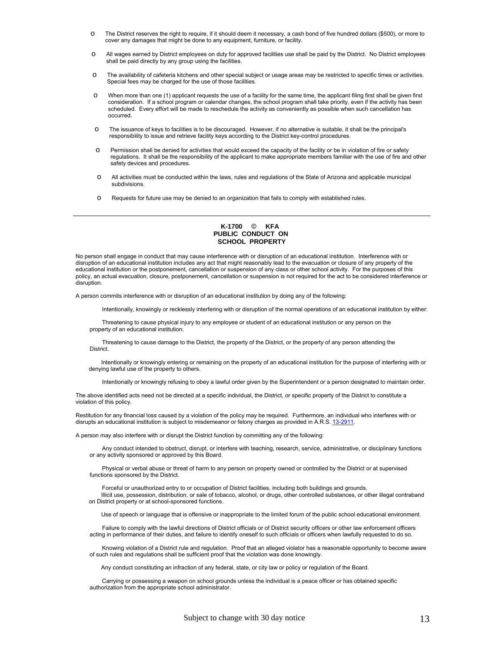- o The District reserves the right to require, if it should deem it necessary, a cash bond of five hundred dollars (\$500), or more to cover any damages that might be done to any equipment, furniture, or facility.
- o All wages earned by District employees on duty for approved facilities use shall be paid by the District. No District employees shall be paid directly by any group using the facilities.
- o The availability of cafeteria kitchens and other special subject or usage areas may be restricted to specific times or activities. Special fees may be charged for the use of those facilities.
- When more than one (1) applicant requests the use of a facility for the same time, the applicant filing first shall be given first consideration. If a school program or calendar changes, the school program shall take priority, even if the activity has been scheduled. Every effort will be made to reschedule the activity as conveniently as possible when such cancellation has occurred.
- o The issuance of keys to facilities is to be discouraged. However, if no alternative is suitable, it shall be the principal's responsibility to issue and retrieve facility keys according to the District key-control procedures.
- o Permission shall be denied for activities that would exceed the capacity of the facility or be in violation of fire or safety regulations. It shall be the responsibility of the applicant to make appropriate members familiar with the use of fire and other safety devices and procedures.
- o All activities must be conducted within the laws, rules and regulations of the State of Arizona and applicable municipal subdivisions.
- o Requests for future use may be denied to an organization that fails to comply with established rules.

#### **K-1700** © **KFA PUBLIC CONDUCT ON SCHOOL PROPERTY**

No person shall engage in conduct that may cause interference with or disruption of an educational institution. Interference with or disruption of an educational institution includes any act that might reasonably lead to the evacuation or closure of any property of the educational institution or the postponement, cancellation or suspension of any class or other school activity. For the purposes of this policy, an actual evacuation, closure, postponement, cancellation or suspension is not required for the act to be considered interference or disruption.

A person commits interference with or disruption of an educational institution by doing any of the following:

Intentionally, knowingly or recklessly interfering with or disruption of the normal operations of an educational institution by either:

 Threatening to cause physical injury to any employee or student of an educational institution or any person on the property of an educational institution.

 Threatening to cause damage to the District, the property of the District, or the property of any person attending the District.

 Intentionally or knowingly entering or remaining on the property of an educational institution for the purpose of interfering with or denying lawful use of the property to others.

Intentionally or knowingly refusing to obey a lawful order given by the Superintendent or a person designated to maintain order.

The above identified acts need not be directed at a specific individual, the District, or specific property of the District to constitute a violation of this policy.

disrupts an educational institution is subject to misdemeanor or felony charges as provided in A.R.S. 13-2911. Restitution for any financial loss caused by a violation of the policy may be required. Furthermore, an individual who interferes with or

A person may also interfere with or disrupt the District function by committing any of the following:

 Any conduct intended to obstruct, disrupt, or interfere with teaching, research, service, administrative, or disciplinary functions or any activity sponsored or approved by this Board.

 Physical or verbal abuse or threat of harm to any person on property owned or controlled by the District or at supervised functions sponsored by the District.

 Forceful or unauthorized entry to or occupation of District facilities, including both buildings and grounds. Illicit use, possession, distribution, or sale of tobacco, alcohol, or drugs, other controlled substances, or other illegal contraband on District property or at school-sponsored functions.

Use of speech or language that is offensive or inappropriate to the limited forum of the public school educational environment.

 Failure to comply with the lawful directions of District officials or of District security officers or other law enforcement officers acting in performance of their duties, and failure to identify oneself to such officials or officers when lawfully requested to do so.

 Knowing violation of a District rule and regulation. Proof that an alleged violator has a reasonable opportunity to become aware of such rules and regulations shall be sufficient proof that the violation was done knowingly.

Any conduct constituting an infraction of any federal, state, or city law or policy or regulation of the Board.

 Carrying or possessing a weapon on school grounds unless the individual is a peace officer or has obtained specific authorization from the appropriate school administrator.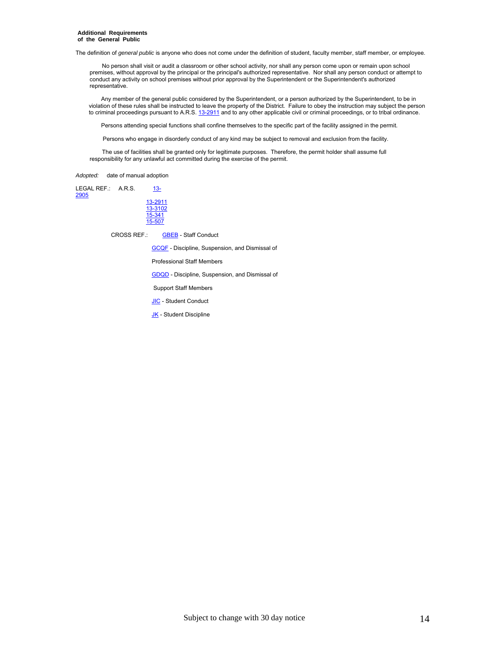#### **Additional Requirements of the General Public**

The definition of *general public* is anyone who does not come under the definition of student, faculty member, staff member, or employee.

 No person shall visit or audit a classroom or other school activity, nor shall any person come upon or remain upon school premises, without approval by the principal or the principal's authorized representative. Nor shall any person conduct or attempt to conduct any activity on school premises without prior approval by the Superintendent or the Superintendent's authorized representative.

 Any member of the general public considered by the Superintendent, or a person authorized by the Superintendent, to be in violation of these rules shall be instructed to leave the property of the District. Failure to obey the instruction may subject the person to criminal proceedings pursuant to A.R.S. 13-2911 and to any other applicable civil or criminal proceedings, or to tribal ordinance.

Persons attending special functions shall confine themselves to the specific part of the facility assigned in the permit.

Persons who engage in disorderly conduct of any kind may be subject to removal and exclusion from the facility.

 The use of facilities shall be granted only for legitimate purposes. Therefore, the permit holder shall assume full responsibility for any unlawful act committed during the exercise of the permit.

*Adopted:* date of manual adoption

| <b>LEGAL REF.:</b><br>2905 | A.R.S. | $13 -$             |
|----------------------------|--------|--------------------|
|                            |        | 13-2911<br>13-3102 |
|                            |        | 15-341<br>15-507   |

CROSS REF.: GBEB - Staff Conduct

GCQF - Discipline, Suspension, and Dismissal of

Professional Staff Members

GDQD - Discipline, Suspension, and Dismissal of

Support Staff Members

**JIC** - Student Conduct

JK - Student Discipline